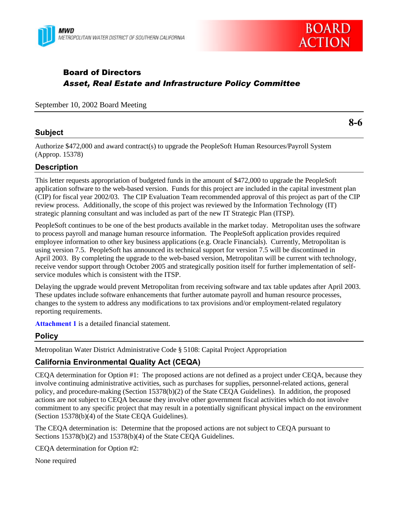



# Board of Directors *Asset, Real Estate and Infrastructure Policy Committee*

September 10, 2002 Board Meeting

## **Subject**

**8-6**

Authorize \$472,000 and award contract(s) to upgrade the PeopleSoft Human Resources/Payroll System (Approp. 15378)

## **Description**

This letter requests appropriation of budgeted funds in the amount of \$472,000 to upgrade the PeopleSoft application software to the web-based version. Funds for this project are included in the capital investment plan (CIP) for fiscal year 2002/03. The CIP Evaluation Team recommended approval of this project as part of the CIP review process. Additionally, the scope of this project was reviewed by the Information Technology (IT) strategic planning consultant and was included as part of the new IT Strategic Plan (ITSP).

PeopleSoft continues to be one of the best products available in the market today. Metropolitan uses the software to process payroll and manage human resource information. The PeopleSoft application provides required employee information to other key business applications (e.g. Oracle Financials). Currently, Metropolitan is using version 7.5. PeopleSoft has announced its technical support for version 7.5 will be discontinued in April 2003. By completing the upgrade to the web-based version, Metropolitan will be current with technology, receive vendor support through October 2005 and strategically position itself for further implementation of selfservice modules which is consistent with the ITSP.

Delaying the upgrade would prevent Metropolitan from receiving software and tax table updates after April 2003. These updates include software enhancements that further automate payroll and human resource processes, changes to the system to address any modifications to tax provisions and/or employment-related regulatory reporting requirements.

**Attachment 1** is a detailed financial statement.

### **Policy**

Metropolitan Water District Administrative Code § 5108: Capital Project Appropriation

### **California Environmental Quality Act (CEQA)**

CEQA determination for Option #1: The proposed actions are not defined as a project under CEQA, because they involve continuing administrative activities, such as purchases for supplies, personnel-related actions, general policy, and procedure-making (Section 15378(b)(2) of the State CEQA Guidelines). In addition, the proposed actions are not subject to CEQA because they involve other government fiscal activities which do not involve commitment to any specific project that may result in a potentially significant physical impact on the environment (Section 15378(b)(4) of the State CEQA Guidelines).

The CEQA determination is: Determine that the proposed actions are not subject to CEQA pursuant to Sections 15378(b)(2) and 15378(b)(4) of the State CEOA Guidelines.

CEQA determination for Option #2:

None required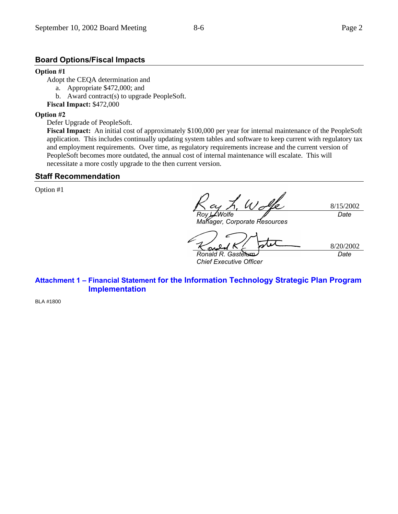# **Board Options/Fiscal Impacts**

### **Option #1**

Adopt the CEQA determination and

- a. Appropriate \$472,000; and
- b. Award contract(s) to upgrade PeopleSoft.
- **Fiscal Impact:** \$472,000

## **Option #2**

Defer Upgrade of PeopleSoft.

**Fiscal Impact:** An initial cost of approximately \$100,000 per year for internal maintenance of the PeopleSoft application. This includes continually updating system tables and software to keep current with regulatory tax and employment requirements. Over time, as regulatory requirements increase and the current version of PeopleSoft becomes more outdated, the annual cost of internal maintenance will escalate. This will necessitate a more costly upgrade to the then current version.

## **Staff Recommendation**

Option #1

8/15/2002 *Roy L. Wolfe Manager, Corporate Resources Date*

8/20/2002 *Ronald R. Gastelum Date*

*Chief Executive Officer*

**Attachment 1 – Financial Statement for the Information Technology Strategic Plan Program Implementation**

BLA #1800